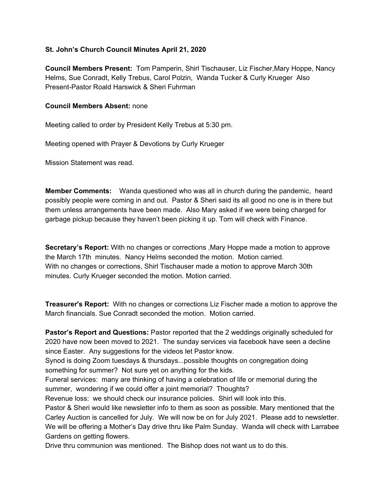## **St. John's Church Council Minutes April 21, 2020**

**Council Members Present:** Tom Pamperin, Shirl Tischauser, Liz Fischer,Mary Hoppe, Nancy Helms, Sue Conradt, Kelly Trebus, Carol Polzin, Wanda Tucker & Curly Krueger Also Present-Pastor Roald Harswick & Sheri Fuhrman

## **Council Members Absent:** none

Meeting called to order by President Kelly Trebus at 5:30 pm.

Meeting opened with Prayer & Devotions by Curly Krueger

Mission Statement was read.

**Member Comments:** Wanda questioned who was all in church during the pandemic, heard possibly people were coming in and out. Pastor & Sheri said its all good no one is in there but them unless arrangements have been made. Also Mary asked if we were being charged for garbage pickup because they haven't been picking it up. Tom will check with Finance.

**Secretary's Report:** With no changes or corrections ,Mary Hoppe made a motion to approve the March 17th minutes. Nancy Helms seconded the motion. Motion carried. With no changes or corrections, Shirl Tischauser made a motion to approve March 30th minutes. Curly Krueger seconded the motion. Motion carried.

**Treasurer's Report:** With no changes or corrections Liz Fischer made a motion to approve the March financials. Sue Conradt seconded the motion. Motion carried.

**Pastor's Report and Questions:** Pastor reported that the 2 weddings originally scheduled for 2020 have now been moved to 2021. The sunday services via facebook have seen a decline since Easter. Any suggestions for the videos let Pastor know.

Synod is doing Zoom tuesdays & thursdays...possible thoughts on congregation doing something for summer? Not sure yet on anything for the kids.

Funeral services: many are thinking of having a celebration of life or memorial during the summer, wondering if we could offer a joint memorial? Thoughts?

Revenue loss: we should check our insurance policies. Shirl will look into this.

Pastor & Sheri would like newsletter info to them as soon as possible. Mary mentioned that the Carley Auction is cancelled for July. We will now be on for July 2021. Please add to newsletter. We will be offering a Mother's Day drive thru like Palm Sunday. Wanda will check with Larrabee Gardens on getting flowers.

Drive thru communion was mentioned. The Bishop does not want us to do this.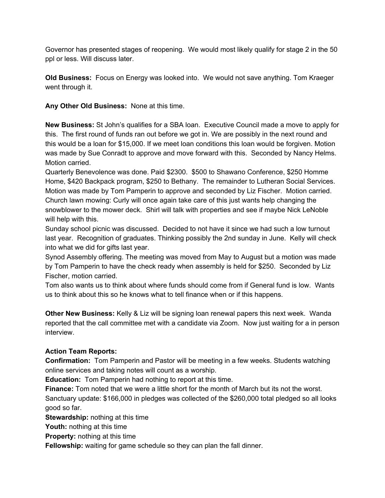Governor has presented stages of reopening. We would most likely qualify for stage 2 in the 50 ppl or less. Will discuss later.

**Old Business:** Focus on Energy was looked into. We would not save anything. Tom Kraeger went through it.

**Any Other Old Business:** None at this time.

**New Business:** St John's qualifies for a SBA loan. Executive Council made a move to apply for this. The first round of funds ran out before we got in. We are possibly in the next round and this would be a loan for \$15,000. If we meet loan conditions this loan would be forgiven. Motion was made by Sue Conradt to approve and move forward with this. Seconded by Nancy Helms. Motion carried.

Quarterly Benevolence was done. Paid \$2300. \$500 to Shawano Conference, \$250 Homme Home, \$420 Backpack program, \$250 to Bethany. The remainder to Lutheran Social Services. Motion was made by Tom Pamperin to approve and seconded by Liz Fischer. Motion carried. Church lawn mowing: Curly will once again take care of this just wants help changing the snowblower to the mower deck. Shirl will talk with properties and see if maybe Nick LeNoble will help with this.

Sunday school picnic was discussed. Decided to not have it since we had such a low turnout last year. Recognition of graduates. Thinking possibly the 2nd sunday in June. Kelly will check into what we did for gifts last year.

Synod Assembly offering. The meeting was moved from May to August but a motion was made by Tom Pamperin to have the check ready when assembly is held for \$250. Seconded by Liz Fischer, motion carried.

Tom also wants us to think about where funds should come from if General fund is low. Wants us to think about this so he knows what to tell finance when or if this happens.

**Other New Business:** Kelly & Liz will be signing loan renewal papers this next week. Wanda reported that the call committee met with a candidate via Zoom. Now just waiting for a in person interview.

## **Action Team Reports:**

**Confirmation:** Tom Pamperin and Pastor will be meeting in a few weeks. Students watching online services and taking notes will count as a worship.

**Education:** Tom Pamperin had nothing to report at this time.

**Finance:** Tom noted that we were a little short for the month of March but its not the worst. Sanctuary update: \$166,000 in pledges was collected of the \$260,000 total pledged so all looks good so far.

**Stewardship:** nothing at this time

**Youth:** nothing at this time

**Property:** nothing at this time

**Fellowship:** waiting for game schedule so they can plan the fall dinner.